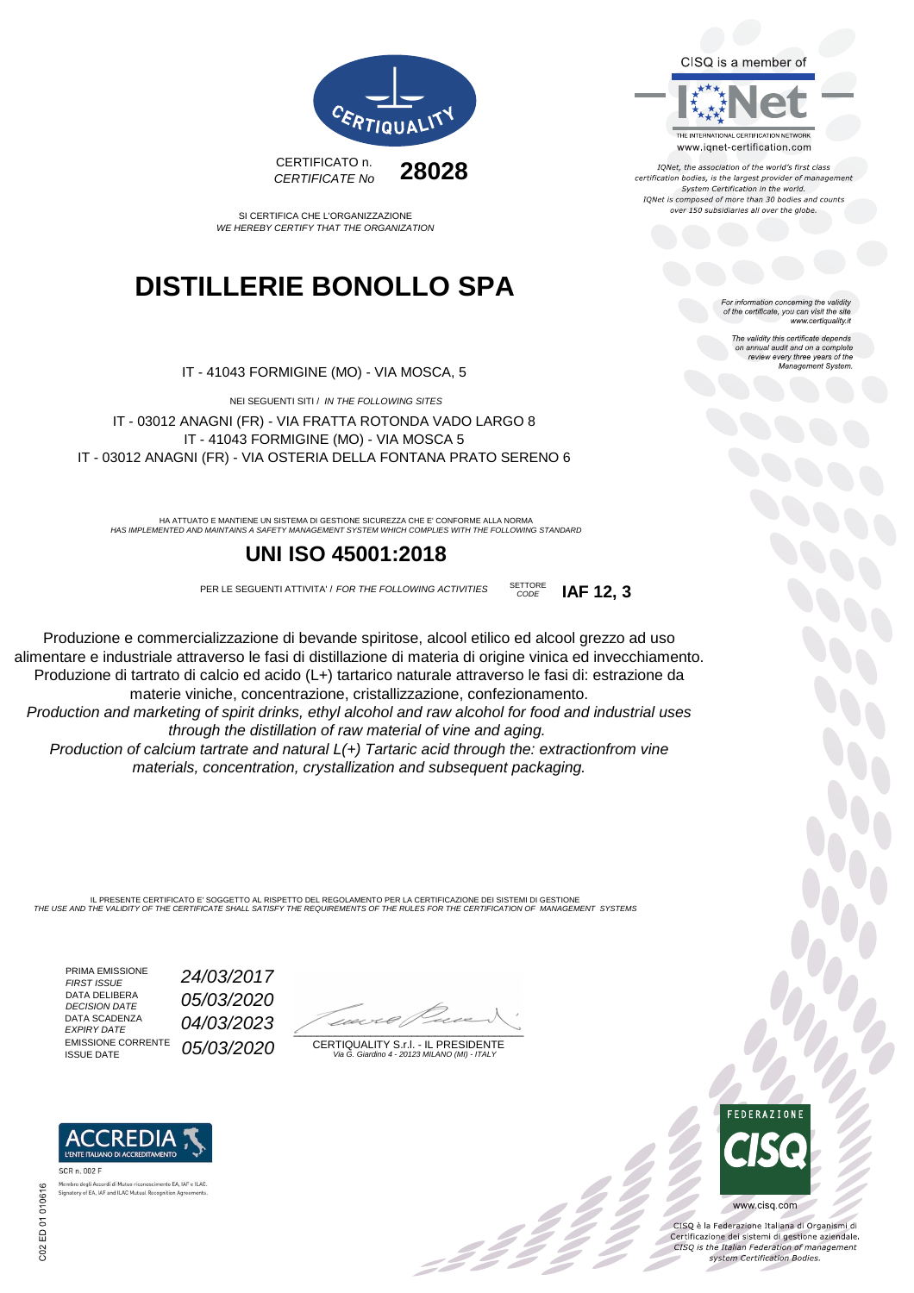CISQ is a member of



IQNet, the association of the world's first class certification bodies, is the largest provider of management System Certification in the world. IONet is composed of more than 30 bodies and counts over 150 subsidiaries all over the globe.

> For information concerning the validity of the certificate, you can visit the site www.certiquality.it

> > The validity this certificate depends The validity this certificate depends<br>on annual audit and on a complete<br>review every three years of the<br>Management System.



SI CERTIFICA CHE L'ORGANIZZAZIONE WE HEREBY CERTIFY THAT THE ORGANIZATION

## **DISTILLERIE BONOLLO SPA**

IT - 41043 FORMIGINE (MO) - VIA MOSCA, 5

NEI SEGUENTI SITI / IN THE FOLLOWING SITES IT - 03012 ANAGNI (FR) - VIA FRATTA ROTONDA VADO LARGO 8 IT - 41043 FORMIGINE (MO) - VIA MOSCA 5 IT - 03012 ANAGNI (FR) - VIA OSTERIA DELLA FONTANA PRATO SERENO 6

HA ATTUATO E MANTIENE UN SISTEMA DI GESTIONE SICUREZZA CHE E' CONFORME ALLA NORMA<br>HAS IMPLEMENTED AND MAINTAINS A SAFETY MANAGEMENT SYSTEM WHICH COMPLIES WITH THE FOLLOWING STANDARD

#### **UNI ISO 45001:2018**

PER LE SEGUENTI ATTIVITA' / FOR THE FOLLOWING ACTIVITIES SETTORE

CODE **IAF 12, 3**

Produzione e commercializzazione di bevande spiritose, alcool etilico ed alcool grezzo ad uso alimentare e industriale attraverso le fasi di distillazione di materia di origine vinica ed invecchiamento. Produzione di tartrato di calcio ed acido (L+) tartarico naturale attraverso le fasi di: estrazione da materie viniche, concentrazione, cristallizzazione, confezionamento.

Production and marketing of spirit drinks, ethyl alcohol and raw alcohol for food and industrial uses through the distillation of raw material of vine and aging.

Production of calcium tartrate and natural L(+) Tartaric acid through the: extractionfrom vine materials, concentration, crystallization and subsequent packaging.

IL PRESENTE CERTIFICATO E' SOGGETTO AL RISPETTO DEL REGOLAMENTO PER LA CERTIFICAZIONE DEI SISTEMI DI GESTIONE THE USE AND THE VALIDITY OF THE CERTIFICATE SHALL SATISFY THE REQUIREMENTS OF THE RULES FOR THE CERTIFICATION OF MANAGEMENT SYSTEMS

PRIMA EMISSIONE<br>FIRST ISSUE DATA DELIBERA DATA SCADENZA<br>EXPIRY DATE **EMISSIONE CORRENTE**<br>ISSUE DATE

Membro degli Accordi di Mutuo riconoscimento EA, IAF e ILAC

Signatory of EA JAE and ILAC Mutual Recognition Ag

24/03/2017 DATA DELIBERA  $05/03/2020$ 04/03/2023 05/03/2020

 $\overline{\phantom{a}}$ 

CERTIQUALITY S.r.l. - IL PRESIDENTE Via G. Giardino 4 - 20123 MILANO (MI) - ITALY

:42



 $\frac{1}{2}$ 

www.cisq.com

CISO è la Federazione Italiana di Organismi di CISQ e la regerazione italiana di Organismi di<br>Certificazione dei sistemi di gestione aziendale.<br>CISQ is the Italian Federation of management system Certification Bodies.

SCR n. 002 F